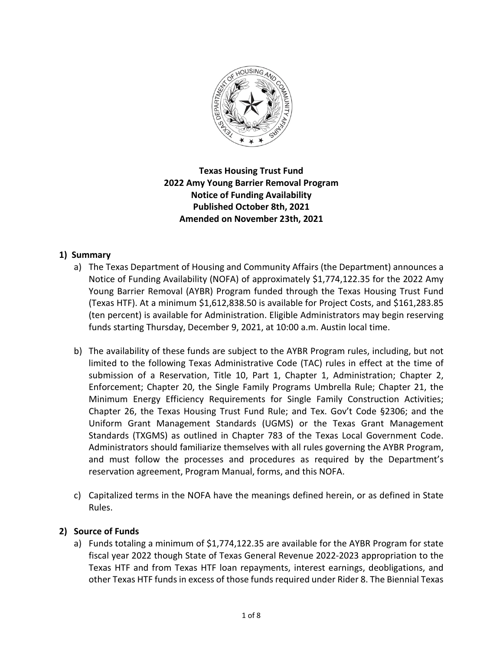

**Texas Housing Trust Fund 2022 Amy Young Barrier Removal Program Notice of Funding Availability Published October 8th, 2021 Amended on November 23th, 2021**

# **1) Summary**

- a) The Texas Department of Housing and Community Affairs (the Department) announces a Notice of Funding Availability (NOFA) of approximately \$1,774,122.35 for the 2022 Amy Young Barrier Removal (AYBR) Program funded through the Texas Housing Trust Fund (Texas HTF). At a minimum \$1,612,838.50 is available for Project Costs, and \$161,283.85 (ten percent) is available for Administration. Eligible Administrators may begin reserving funds starting Thursday, December 9, 2021, at 10:00 a.m. Austin local time.
- b) The availability of these funds are subject to the AYBR Program rules, including, but not limited to the following Texas Administrative Code (TAC) rules in effect at the time of submission of a Reservation, Title 10, Part 1, Chapter 1, Administration; Chapter 2, Enforcement; Chapter 20, the Single Family Programs Umbrella Rule; Chapter 21, the Minimum Energy Efficiency Requirements for Single Family Construction Activities; Chapter 26, the Texas Housing Trust Fund Rule; and Tex. Gov't Code §2306; and the Uniform Grant Management Standards (UGMS) or the Texas Grant Management Standards (TXGMS) as outlined in Chapter 783 of the Texas Local Government Code. Administrators should familiarize themselves with all rules governing the AYBR Program, and must follow the processes and procedures as required by the Department's reservation agreement, Program Manual, forms, and this NOFA.
- c) Capitalized terms in the NOFA have the meanings defined herein, or as defined in State Rules.

# **2) Source of Funds**

a) Funds totaling a minimum of \$1,774,122.35 are available for the AYBR Program for state fiscal year 2022 though State of Texas General Revenue 2022-2023 appropriation to the Texas HTF and from Texas HTF loan repayments, interest earnings, deobligations, and other Texas HTF funds in excess of those funds required under Rider 8. The Biennial Texas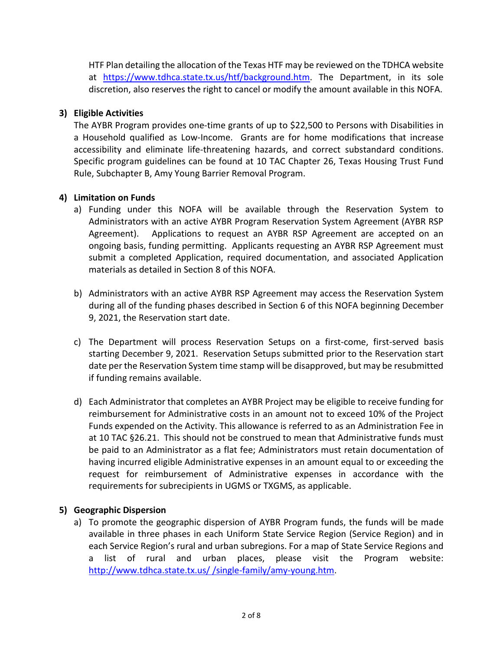HTF Plan detailing the allocation of the Texas HTF may be reviewed on the TDHCA website at [https://www.tdhca.state.tx.us/htf/background.htm.](https://www.tdhca.state.tx.us/htf/background.htm) The Department, in its sole discretion, also reserves the right to cancel or modify the amount available in this NOFA.

# **3) Eligible Activities**

The AYBR Program provides one-time grants of up to \$22,500 to Persons with Disabilities in a Household qualified as Low-Income. Grants are for home modifications that increase accessibility and eliminate life-threatening hazards, and correct substandard conditions. Specific program guidelines can be found at 10 TAC Chapter 26, Texas Housing Trust Fund Rule, Subchapter B, Amy Young Barrier Removal Program.

### **4) Limitation on Funds**

- a) Funding under this NOFA will be available through the Reservation System to Administrators with an active AYBR Program Reservation System Agreement (AYBR RSP Agreement). Applications to request an AYBR RSP Agreement are accepted on an ongoing basis, funding permitting. Applicants requesting an AYBR RSP Agreement must submit a completed Application, required documentation, and associated Application materials as detailed in Section 8 of this NOFA.
- b) Administrators with an active AYBR RSP Agreement may access the Reservation System during all of the funding phases described in Section 6 of this NOFA beginning December 9, 2021, the Reservation start date.
- c) The Department will process Reservation Setups on a first-come, first-served basis starting December 9, 2021. Reservation Setups submitted prior to the Reservation start date per the Reservation System time stamp will be disapproved, but may be resubmitted if funding remains available.
- d) Each Administrator that completes an AYBR Project may be eligible to receive funding for reimbursement for Administrative costs in an amount not to exceed 10% of the Project Funds expended on the Activity. This allowance is referred to as an Administration Fee in at 10 TAC §26.21. This should not be construed to mean that Administrative funds must be paid to an Administrator as a flat fee; Administrators must retain documentation of having incurred eligible Administrative expenses in an amount equal to or exceeding the request for reimbursement of Administrative expenses in accordance with the requirements for subrecipients in UGMS or TXGMS, as applicable.

# **5) Geographic Dispersion**

a) To promote the geographic dispersion of AYBR Program funds, the funds will be made available in three phases in each Uniform State Service Region (Service Region) and in each Service Region's rural and urban subregions. For a map of State Service Regions and a list of rural and urban places, please visit the Program website: http://www.tdhca.state.tx.us/ [/single-family/amy-young.htm.](http://www.tdhca.state.tx.us/htf/single-family/amy-young.htm)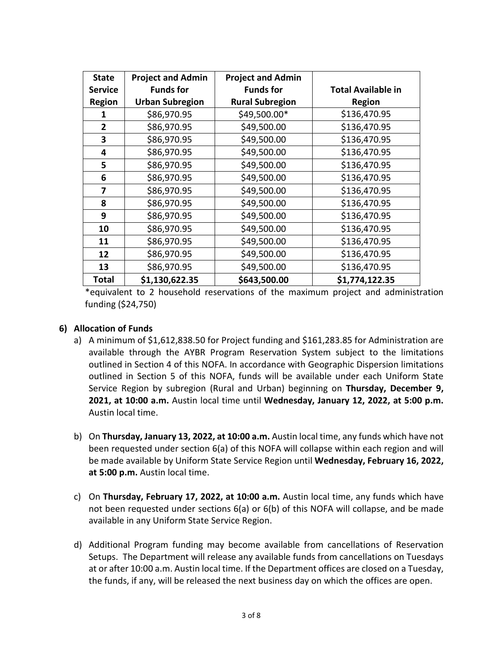| <b>State</b>   | <b>Project and Admin</b> | <b>Project and Admin</b> |                           |
|----------------|--------------------------|--------------------------|---------------------------|
| <b>Service</b> | <b>Funds for</b>         | <b>Funds for</b>         | <b>Total Available in</b> |
| <b>Region</b>  | <b>Urban Subregion</b>   | <b>Rural Subregion</b>   | <b>Region</b>             |
| 1              | \$86,970.95              | \$49,500.00*             | \$136,470.95              |
| $\overline{2}$ | \$86,970.95              | \$49,500.00              | \$136,470.95              |
| 3              | \$86,970.95              | \$49,500.00              | \$136,470.95              |
| 4              | \$86,970.95              | \$49,500.00              | \$136,470.95              |
| 5              | \$86,970.95              | \$49,500.00              | \$136,470.95              |
| 6              | \$86,970.95              | \$49,500.00              | \$136,470.95              |
| 7              | \$86,970.95              | \$49,500.00              | \$136,470.95              |
| 8              | \$86,970.95              | \$49,500.00              | \$136,470.95              |
| 9              | \$86,970.95              | \$49,500.00              | \$136,470.95              |
| 10             | \$86,970.95              | \$49,500.00              | \$136,470.95              |
| 11             | \$86,970.95              | \$49,500.00              | \$136,470.95              |
| 12             | \$86,970.95              | \$49,500.00              | \$136,470.95              |
| 13             | \$86,970.95              | \$49,500.00              | \$136,470.95              |
| <b>Total</b>   | \$1,130,622.35           | \$643,500.00             | \$1,774,122.35            |

\*equivalent to 2 household reservations of the maximum project and administration funding (\$24,750)

# **6) Allocation of Funds**

- a) A minimum of \$1,612,838.50 for Project funding and \$161,283.85 for Administration are available through the AYBR Program Reservation System subject to the limitations outlined in Section 4 of this NOFA. In accordance with Geographic Dispersion limitations outlined in Section 5 of this NOFA, funds will be available under each Uniform State Service Region by subregion (Rural and Urban) beginning on **Thursday, December 9, 2021, at 10:00 a.m.** Austin local time until **Wednesday, January 12, 2022, at 5:00 p.m.**  Austin local time.
- b) On **Thursday, January 13, 2022, at 10:00 a.m.** Austin local time, any funds which have not been requested under section 6(a) of this NOFA will collapse within each region and will be made available by Uniform State Service Region until **Wednesday, February 16, 2022, at 5:00 p.m.** Austin local time.
- c) On **Thursday, February 17, 2022, at 10:00 a.m.** Austin local time, any funds which have not been requested under sections 6(a) or 6(b) of this NOFA will collapse, and be made available in any Uniform State Service Region.
- d) Additional Program funding may become available from cancellations of Reservation Setups. The Department will release any available funds from cancellations on Tuesdays at or after 10:00 a.m. Austin local time. If the Department offices are closed on a Tuesday, the funds, if any, will be released the next business day on which the offices are open.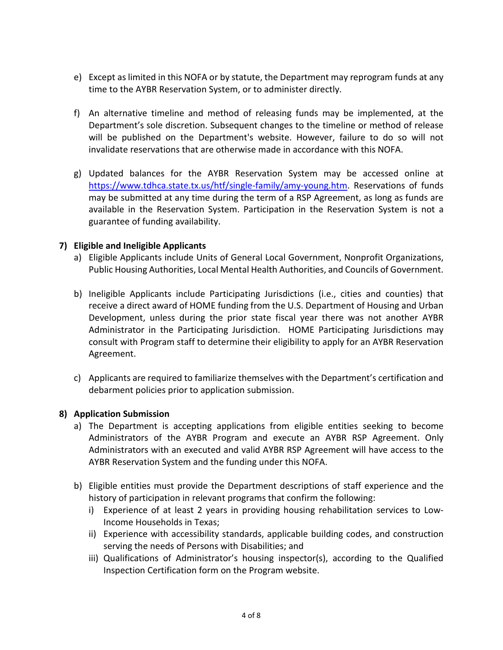- e) Except as limited in this NOFA or by statute, the Department may reprogram funds at any time to the AYBR Reservation System, or to administer directly.
- f) An alternative timeline and method of releasing funds may be implemented, at the Department's sole discretion. Subsequent changes to the timeline or method of release will be published on the Department's website. However, failure to do so will not invalidate reservations that are otherwise made in accordance with this NOFA.
- g) Updated balances for the AYBR Reservation System may be accessed online at [https://www.tdhca.state.tx.us/htf/single-family/amy-young.htm.](https://www.tdhca.state.tx.us/htf/single-family/amy-young.htm) Reservations of funds may be submitted at any time during the term of a RSP Agreement, as long as funds are available in the Reservation System. Participation in the Reservation System is not a guarantee of funding availability.

### **7) Eligible and Ineligible Applicants**

- a) Eligible Applicants include Units of General Local Government, Nonprofit Organizations, Public Housing Authorities, Local Mental Health Authorities, and Councils of Government.
- b) Ineligible Applicants include Participating Jurisdictions (i.e., cities and counties) that receive a direct award of HOME funding from the U.S. Department of Housing and Urban Development, unless during the prior state fiscal year there was not another AYBR Administrator in the Participating Jurisdiction. HOME Participating Jurisdictions may consult with Program staff to determine their eligibility to apply for an AYBR Reservation Agreement.
- c) Applicants are required to familiarize themselves with the Department's certification and debarment policies prior to application submission.

#### **8) Application Submission**

- a) The Department is accepting applications from eligible entities seeking to become Administrators of the AYBR Program and execute an AYBR RSP Agreement. Only Administrators with an executed and valid AYBR RSP Agreement will have access to the AYBR Reservation System and the funding under this NOFA.
- b) Eligible entities must provide the Department descriptions of staff experience and the history of participation in relevant programs that confirm the following:
	- i) Experience of at least 2 years in providing housing rehabilitation services to Low-Income Households in Texas;
	- ii) Experience with accessibility standards, applicable building codes, and construction serving the needs of Persons with Disabilities; and
	- iii) Qualifications of Administrator's housing inspector(s), according to the Qualified Inspection Certification form on the Program website.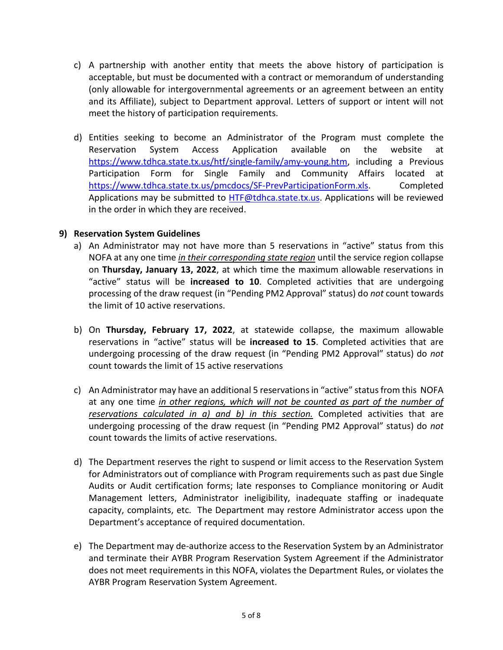- c) A partnership with another entity that meets the above history of participation is acceptable, but must be documented with a contract or memorandum of understanding (only allowable for intergovernmental agreements or an agreement between an entity and its Affiliate), subject to Department approval. Letters of support or intent will not meet the history of participation requirements.
- d) Entities seeking to become an Administrator of the Program must complete the Reservation System Access Application available on the website at [https://www.tdhca.state.tx.us/htf/single-family/amy-young.htm,](https://www.tdhca.state.tx.us/htf/single-family/amy-young.htm) including a Previous Participation Form for Single Family and Community Affairs located at [https://www.tdhca.state.tx.us/pmcdocs/SF-PrevParticipationForm.xls.](https://www.tdhca.state.tx.us/pmcdocs/SF-PrevParticipationForm.xls) Completed Applications may be submitted to [HTF@tdhca.state.tx.us.](mailto:HTF@tdhca.state.tx.us) Applications will be reviewed in the order in which they are received.

### **9) Reservation System Guidelines**

- a) An Administrator may not have more than 5 reservations in "active" status from this NOFA at any one time *in their corresponding state region* until the service region collapse on **Thursday, January 13, 2022**, at which time the maximum allowable reservations in "active" status will be **increased to 10**. Completed activities that are undergoing processing of the draw request (in "Pending PM2 Approval" status) do *not* count towards the limit of 10 active reservations.
- b) On **Thursday, February 17, 2022**, at statewide collapse, the maximum allowable reservations in "active" status will be **increased to 15**. Completed activities that are undergoing processing of the draw request (in "Pending PM2 Approval" status) do *not* count towards the limit of 15 active reservations
- c) An Administrator may have an additional 5 reservations in "active" status from this NOFA at any one time *in other regions, which will not be counted as part of the number of reservations calculated in a) and b) in this section.* Completed activities that are undergoing processing of the draw request (in "Pending PM2 Approval" status) do *not* count towards the limits of active reservations.
- d) The Department reserves the right to suspend or limit access to the Reservation System for Administrators out of compliance with Program requirements such as past due Single Audits or Audit certification forms; late responses to Compliance monitoring or Audit Management letters, Administrator ineligibility, inadequate staffing or inadequate capacity, complaints, etc. The Department may restore Administrator access upon the Department's acceptance of required documentation.
- e) The Department may de-authorize access to the Reservation System by an Administrator and terminate their AYBR Program Reservation System Agreement if the Administrator does not meet requirements in this NOFA, violates the Department Rules, or violates the AYBR Program Reservation System Agreement.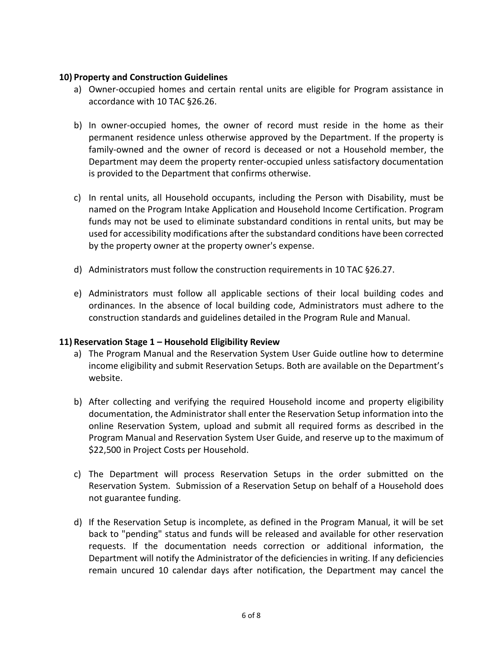#### **10) Property and Construction Guidelines**

- a) Owner-occupied homes and certain rental units are eligible for Program assistance in accordance with 10 TAC §26.26.
- b) In owner-occupied homes, the owner of record must reside in the home as their permanent residence unless otherwise approved by the Department. If the property is family-owned and the owner of record is deceased or not a Household member, the Department may deem the property renter-occupied unless satisfactory documentation is provided to the Department that confirms otherwise.
- c) In rental units, all Household occupants, including the Person with Disability, must be named on the Program Intake Application and Household Income Certification. Program funds may not be used to eliminate substandard conditions in rental units, but may be used for accessibility modifications after the substandard conditions have been corrected by the property owner at the property owner's expense.
- d) Administrators must follow the construction requirements in 10 TAC §26.27.
- e) Administrators must follow all applicable sections of their local building codes and ordinances. In the absence of local building code, Administrators must adhere to the construction standards and guidelines detailed in the Program Rule and Manual.

# **11) Reservation Stage 1 – Household Eligibility Review**

- a) The Program Manual and the Reservation System User Guide outline how to determine income eligibility and submit Reservation Setups. Both are available on the Department's website.
- b) After collecting and verifying the required Household income and property eligibility documentation, the Administrator shall enter the Reservation Setup information into the online Reservation System, upload and submit all required forms as described in the Program Manual and Reservation System User Guide, and reserve up to the maximum of \$22,500 in Project Costs per Household.
- c) The Department will process Reservation Setups in the order submitted on the Reservation System. Submission of a Reservation Setup on behalf of a Household does not guarantee funding.
- d) If the Reservation Setup is incomplete, as defined in the Program Manual, it will be set back to "pending" status and funds will be released and available for other reservation requests. If the documentation needs correction or additional information, the Department will notify the Administrator of the deficiencies in writing. If any deficiencies remain uncured 10 calendar days after notification, the Department may cancel the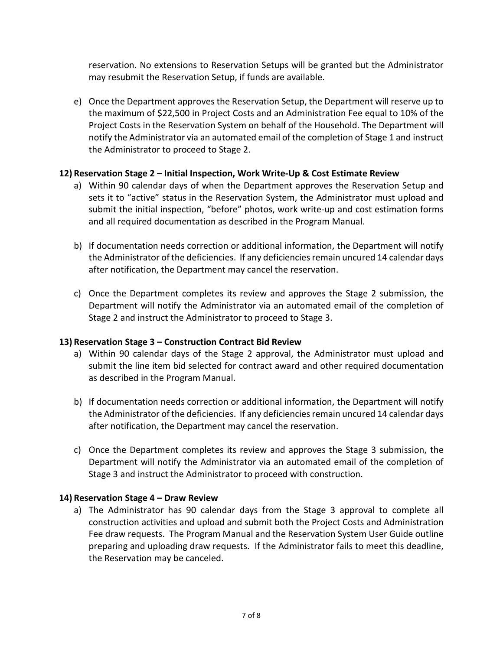reservation. No extensions to Reservation Setups will be granted but the Administrator may resubmit the Reservation Setup, if funds are available.

e) Once the Department approves the Reservation Setup, the Department will reserve up to the maximum of \$22,500 in Project Costs and an Administration Fee equal to 10% of the Project Costs in the Reservation System on behalf of the Household. The Department will notify the Administrator via an automated email of the completion of Stage 1 and instruct the Administrator to proceed to Stage 2.

# **12) Reservation Stage 2 – Initial Inspection, Work Write-Up & Cost Estimate Review**

- a) Within 90 calendar days of when the Department approves the Reservation Setup and sets it to "active" status in the Reservation System, the Administrator must upload and submit the initial inspection, "before" photos, work write-up and cost estimation forms and all required documentation as described in the Program Manual.
- b) If documentation needs correction or additional information, the Department will notify the Administrator of the deficiencies. If any deficiencies remain uncured 14 calendar days after notification, the Department may cancel the reservation.
- c) Once the Department completes its review and approves the Stage 2 submission, the Department will notify the Administrator via an automated email of the completion of Stage 2 and instruct the Administrator to proceed to Stage 3.

# **13) Reservation Stage 3 – Construction Contract Bid Review**

- a) Within 90 calendar days of the Stage 2 approval, the Administrator must upload and submit the line item bid selected for contract award and other required documentation as described in the Program Manual.
- b) If documentation needs correction or additional information, the Department will notify the Administrator of the deficiencies. If any deficiencies remain uncured 14 calendar days after notification, the Department may cancel the reservation.
- c) Once the Department completes its review and approves the Stage 3 submission, the Department will notify the Administrator via an automated email of the completion of Stage 3 and instruct the Administrator to proceed with construction.

#### **14) Reservation Stage 4 – Draw Review**

a) The Administrator has 90 calendar days from the Stage 3 approval to complete all construction activities and upload and submit both the Project Costs and Administration Fee draw requests. The Program Manual and the Reservation System User Guide outline preparing and uploading draw requests. If the Administrator fails to meet this deadline, the Reservation may be canceled.